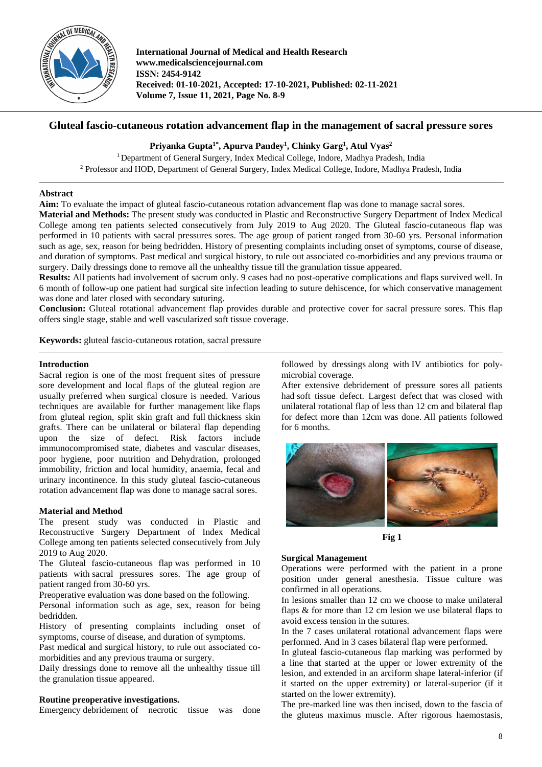

**International Journal of Medical and Health Research www.medicalsciencejournal.com ISSN: 2454-9142 Received: 01-10-2021, Accepted: 17-10-2021, Published: 02-11-2021 Volume 7, Issue 11, 2021, Page No. 8-9**

# **Gluteal fascio-cutaneous rotation advancement flap in the management of sacral pressure sores**

## **Priyanka Gupta1\* , Apurva Pandey<sup>1</sup> , Chinky Garg<sup>1</sup> , Atul Vyas<sup>2</sup>**

<sup>1</sup> Department of General Surgery, Index Medical College, Indore, Madhya Pradesh, India <sup>2</sup> Professor and HOD, Department of General Surgery, Index Medical College, Indore, Madhya Pradesh, India

### **Abstract**

**Aim:** To evaluate the impact of gluteal fascio-cutaneous rotation advancement flap was done to manage sacral sores.

**Material and Methods:** The present study was conducted in Plastic and Reconstructive Surgery Department of Index Medical College among ten patients selected consecutively from July 2019 to Aug 2020. The Gluteal fascio-cutaneous flap was performed in 10 patients with sacral pressures sores. The age group of patient ranged from 30-60 yrs. Personal information such as age, sex, reason for being bedridden. History of presenting complaints including onset of symptoms, course of disease, and duration of symptoms. Past medical and surgical history, to rule out associated co-morbidities and any previous trauma or surgery. Daily dressings done to remove all the unhealthy tissue till the granulation tissue appeared.

**Results:** All patients had involvement of sacrum only. 9 cases had no post-operative complications and flaps survived well. In 6 month of follow-up one patient had surgical site infection leading to suture dehiscence, for which conservative management was done and later closed with secondary suturing.

**Conclusion:** Gluteal rotational advancement flap provides durable and protective cover for sacral pressure sores. This flap offers single stage, stable and well vascularized soft tissue coverage.

**Keywords:** gluteal fascio-cutaneous rotation, sacral pressure

### **Introduction**

Sacral region is one of the most frequent sites of pressure sore development and local flaps of the gluteal region are usually preferred when surgical closure is needed. Various techniques are available for further management like flaps from gluteal region, split skin graft and full thickness skin grafts. There can be unilateral or bilateral flap depending upon the size of defect. Risk factors include immunocompromised state, diabetes and vascular diseases, poor hygiene, poor nutrition and Dehydration, prolonged immobility, friction and local humidity, anaemia, fecal and urinary incontinence. In this study gluteal fascio-cutaneous rotation advancement flap was done to manage sacral sores.

### **Material and Method**

The present study was conducted in Plastic and Reconstructive Surgery Department of Index Medical College among ten patients selected consecutively from July 2019 to Aug 2020.

The Gluteal fascio-cutaneous flap was performed in 10 patients with sacral pressures sores. The age group of patient ranged from 30-60 yrs.

Preoperative evaluation was done based on the following.

Personal information such as age, sex, reason for being bedridden.

History of presenting complaints including onset of symptoms, course of disease, and duration of symptoms.

Past medical and surgical history, to rule out associated comorbidities and any previous trauma or surgery.

Daily dressings done to remove all the unhealthy tissue till the granulation tissue appeared.

### **Routine preoperative investigations.**

Emergency debridement of necrotic tissue was done

followed by dressings along with IV antibiotics for polymicrobial coverage.

After extensive debridement of pressure sores all patients had soft tissue defect. Largest defect that was closed with unilateral rotational flap of less than 12 cm and bilateral flap for defect more than 12cm was done. All patients followed for 6 months.



**Fig 1**

### **Surgical Management**

Operations were performed with the patient in a prone position under general anesthesia. Tissue culture was confirmed in all operations.

In lesions smaller than 12 cm we choose to make unilateral flaps & for more than 12 cm lesion we use bilateral flaps to avoid excess tension in the sutures.

In the 7 cases unilateral rotational advancement flaps were performed. And in 3 cases bilateral flap were performed.

In gluteal fascio-cutaneous flap marking was performed by a line that started at the upper or lower extremity of the lesion, and extended in an arciform shape lateral-inferior (if it started on the upper extremity) or lateral-superior (if it started on the lower extremity).

The pre-marked line was then incised, down to the fascia of the gluteus maximus muscle. After rigorous haemostasis,